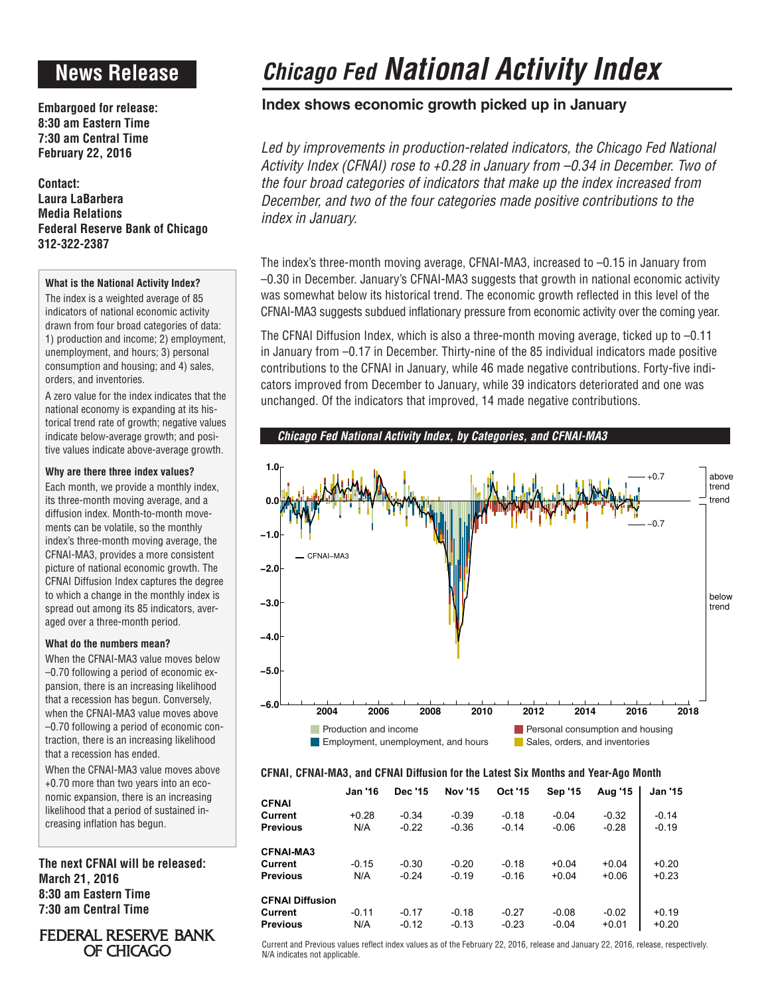## **News Release**

**Embargoed for release: 8:30 am Eastern Time 7:30 am Central Time February 22, 2016**

**Contact: Laura LaBarbera Media Relations Federal Reserve Bank of Chicago 312-322-2387**

### **What is the National Activity Index?**

The index is a weighted average of 85 indicators of national economic activity drawn from four broad categories of data: 1) production and income; 2) employment, unemployment, and hours; 3) personal consumption and housing; and 4) sales, orders, and inventories.

A zero value for the index indicates that the national economy is expanding at its historical trend rate of growth; negative values indicate below-average growth; and positive values indicate above-average growth.

### **Why are there three index values?**

Each month, we provide a monthly index, its three-month moving average, and a diffusion index. Month-to-month movements can be volatile, so the monthly index's three-month moving average, the CFNAI-MA3, provides a more consistent picture of national economic growth. The CFNAI Diffusion Index captures the degree to which a change in the monthly index is spread out among its 85 indicators, averaged over a three-month period.

### **What do the numbers mean?**

When the CFNAI-MA3 value moves below –0.70 following a period of economic expansion, there is an increasing likelihood that a recession has begun. Conversely, when the CFNAI-MA3 value moves above –0.70 following a period of economic contraction, there is an increasing likelihood that a recession has ended.

When the CFNAI-MA3 value moves above +0.70 more than two years into an economic expansion, there is an increasing likelihood that a period of sustained increasing inflation has begun.

**The next CFNAI will be released: March 21, 2016 8:30 am Eastern Time 7:30 am Central Time**

### **FEDERAL RESERVE BANK** OF CHICAGO

# *Chicago Fed National Activity Index*

### **Index shows economic growth picked up in January**

Led by improvements in production-related indicators, the Chicago Fed National *Activity Index (CFNAI) rose to +0.28 in January from –0.34 in December. Two of the four broad categories of indicators that make up the index increased from December, and two of the four categories made positive contributions to the index in January.*

The index's three-month moving average, CFNAI-MA3, increased to –0.15 in January from –0.30 in December. January's CFNAI-MA3 suggests that growth in national economic activity was somewhat below its historical trend. The economic growth reflected in this level of the CFNAI-MA3 suggests subdued inflationary pressure from economic activity over the coming year.

The CFNAI Diffusion Index, which is also a three-month moving average, ticked up to –0.11 in January from –0.17 in December. Thirty-nine of the 85 individual indicators made positive contributions to the CFNAI in January, while 46 made negative contributions. Forty-five indicators improved from December to January, while 39 indicators deteriorated and one was unchanged. Of the indicators that improved, 14 made negative contributions.



### **CFNAI, CFNAI-MA3, and CFNAI Diffusion for the Latest Six Months and Year-Ago Month**

|                        | <b>Jan '16</b> | Dec '15 | <b>Nov '15</b> | <b>Oct '15</b> | <b>Sep '15</b> | Aug '15 | <b>Jan '15</b> |
|------------------------|----------------|---------|----------------|----------------|----------------|---------|----------------|
| <b>CFNAI</b>           |                |         |                |                |                |         |                |
| Current                | $+0.28$        | $-0.34$ | $-0.39$        | $-0.18$        | $-0.04$        | $-0.32$ | $-0.14$        |
| <b>Previous</b>        | N/A            | $-0.22$ | $-0.36$        | $-0.14$        | $-0.06$        | $-0.28$ | $-0.19$        |
| <b>CFNAI-MA3</b>       |                |         |                |                |                |         |                |
| Current                | $-0.15$        | $-0.30$ | $-0.20$        | $-0.18$        | $+0.04$        | $+0.04$ | $+0.20$        |
| <b>Previous</b>        | N/A            | $-0.24$ | $-0.19$        | $-0.16$        | $+0.04$        | $+0.06$ | $+0.23$        |
| <b>CFNAI Diffusion</b> |                |         |                |                |                |         |                |
| Current                | $-0.11$        | $-0.17$ | $-0.18$        | $-0.27$        | $-0.08$        | $-0.02$ | $+0.19$        |
| <b>Previous</b>        | N/A            | $-0.12$ | $-0.13$        | $-0.23$        | $-0.04$        | $+0.01$ | $+0.20$        |

Current and Previous values reflect index values as of the February 22, 2016, release and January 22, 2016, release, respectively. N/A indicates not applicable.